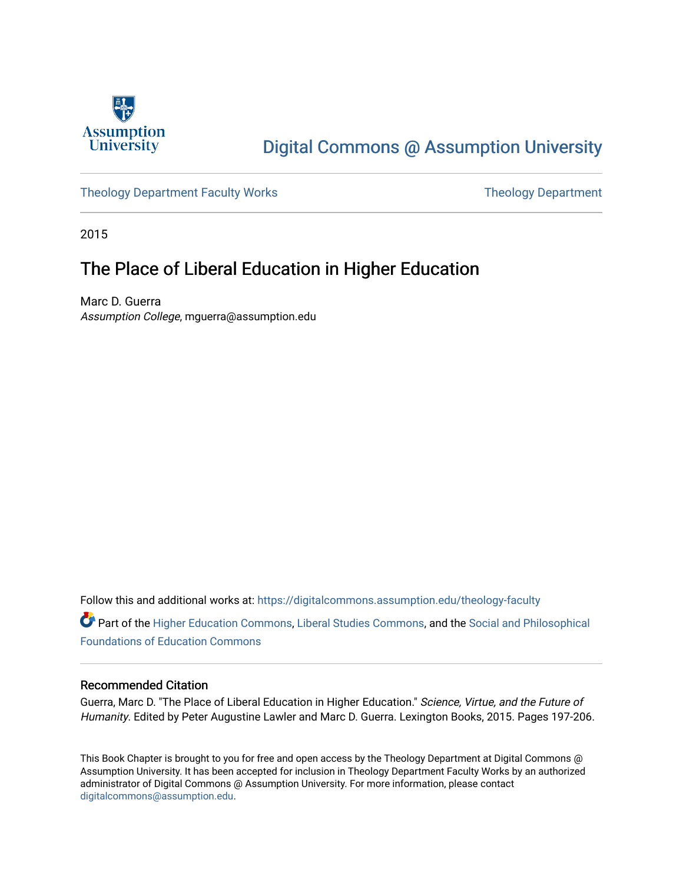

# [Digital Commons @ Assumption University](https://digitalcommons.assumption.edu/)

### [Theology Department Faculty Works](https://digitalcommons.assumption.edu/theology-faculty) Theology Department

2015

## The Place of Liberal Education in Higher Education

Marc D. Guerra Assumption College, mguerra@assumption.edu

Follow this and additional works at: [https://digitalcommons.assumption.edu/theology-faculty](https://digitalcommons.assumption.edu/theology-faculty?utm_source=digitalcommons.assumption.edu%2Ftheology-faculty%2F3&utm_medium=PDF&utm_campaign=PDFCoverPages) 

Part of the [Higher Education Commons,](http://network.bepress.com/hgg/discipline/1245?utm_source=digitalcommons.assumption.edu%2Ftheology-faculty%2F3&utm_medium=PDF&utm_campaign=PDFCoverPages) [Liberal Studies Commons,](http://network.bepress.com/hgg/discipline/1042?utm_source=digitalcommons.assumption.edu%2Ftheology-faculty%2F3&utm_medium=PDF&utm_campaign=PDFCoverPages) and the [Social and Philosophical](http://network.bepress.com/hgg/discipline/799?utm_source=digitalcommons.assumption.edu%2Ftheology-faculty%2F3&utm_medium=PDF&utm_campaign=PDFCoverPages) [Foundations of Education Commons](http://network.bepress.com/hgg/discipline/799?utm_source=digitalcommons.assumption.edu%2Ftheology-faculty%2F3&utm_medium=PDF&utm_campaign=PDFCoverPages)

### Recommended Citation

Guerra, Marc D. "The Place of Liberal Education in Higher Education." Science, Virtue, and the Future of Humanity. Edited by Peter Augustine Lawler and Marc D. Guerra. Lexington Books, 2015. Pages 197-206.

This Book Chapter is brought to you for free and open access by the Theology Department at Digital Commons @ Assumption University. It has been accepted for inclusion in Theology Department Faculty Works by an authorized administrator of Digital Commons @ Assumption University. For more information, please contact [digitalcommons@assumption.edu](mailto:digitalcommons@assumption.edu).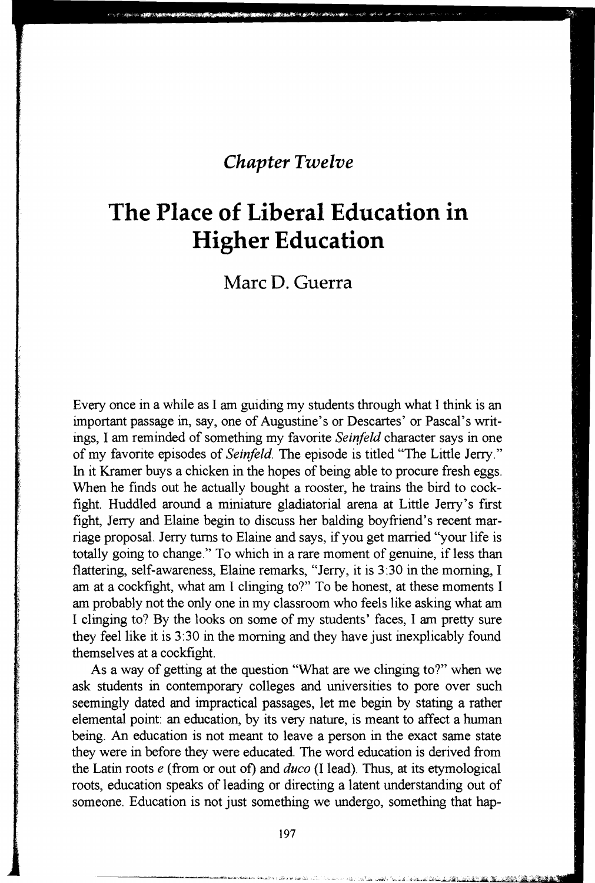# **The Place of Liberal Education in Higher Education**

## **Marc D. Guerra**

Every once in a while as I am guiding my students through what I think is an important passage in, say, one of Augustine's or Descartes' or Pascal's writings, I am reminded of something my favorite *Seinfeld* character says in one of my favorite episodes of *Seinfeld.* The episode is titled "The Little Jerry." In it Kramer buys a chicken in the hopes of being able to procure fresh eggs. When he finds out he actually bought a rooster, he trains the bird to cockfight. Huddled around a miniature gladiatorial arena at Little Jerry's first fight, Jerry and Elaine begin to discuss her balding boyfriend's recent marriage proposal. Jerry turns to Elaine and says, if you get married "your life is totally going to change." To which in a rare moment of genuine, if less than flattering, self-awareness, Elaine remarks, "Jerry, it is 3:30 in the morning, I am at a cockfight, what am I clinging to?" To be honest, at these moments I am probably not the only one in my classroom who feels like asking what am I clinging to? By the looks on some of my students' faces, I am pretty sure they feel like it is 3: 30 in the morning and they have just inexplicably found themselves at a cockfight.

As a way of getting at the question "What are we clinging to?" when we ask students in contemporary colleges and universities to pore over such seemingly dated and impractical passages, let me begin by stating a rather elemental point: an education, by its very nature, is meant to affect a human being. An education is not meant to leave a person in the exact same state they were in before they were educated. The word education is derived from the Latin roots *e* (from or out of) and *duco* (I lead). Thus, at its etymological roots, education speaks of leading or directing a latent understanding out of someone. Education is not just something we undergo, something that hap-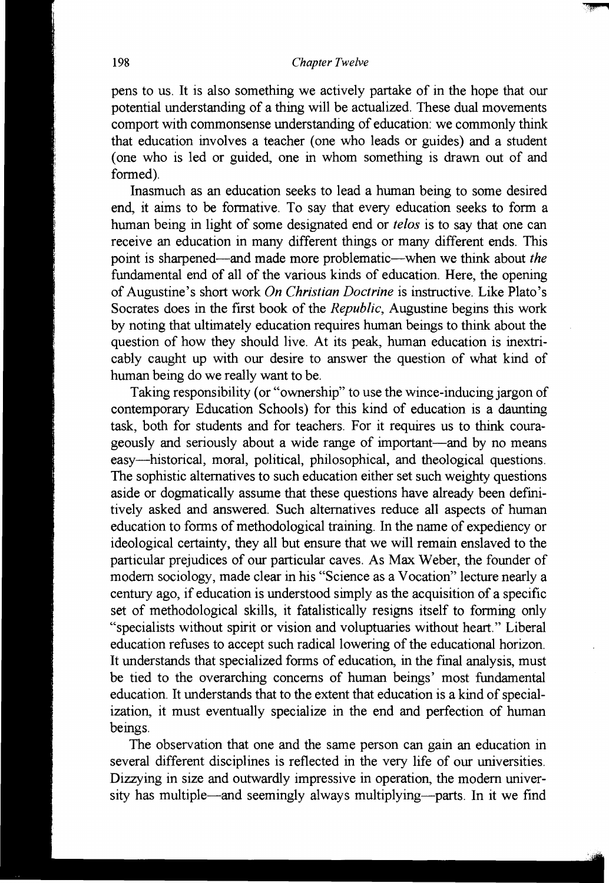pens to us. It is also something we actively partake of in the hope that our potential understanding of a thing will be actualized. These dual movements comport with commonsense understanding of education: we commonly think that education involves a teacher (one who leads or guides) and a student (one who is led or guided, one in whom something is drawn out of and formed).

Inasmuch as an education seeks to lead a human being to some desired end, it aims to be formative. To say that every education seeks to form a human being in light of some designated end or *telos* is to say that one can receive an education in many different things or many different ends. This point is sharpened-and made more problematic-when we think about *the*  fundamental end of all of the various kinds of education. Here, the opening of Augustine's short work *On Christian Doctrine* is instructive. Like Plato's Socrates does in the first book of the *Republic,* Augustine begins this work by noting that ultimately education requires human beings to think about the question of how they should live. At its peak, human education is inextricably caught up with our desire to answer the question of what kind of human being do we really want to be.

Taking responsibility (or "ownership" to use the wince-inducing jargon of contemporary Education Schools) for this kind of education is a daunting task, both for students and for teachers. For it requires us to think courageously and seriously about a wide range of important-and by no means easy-historical, moral, political, philosophical, and theological questions. The sophistic alternatives to such education either set such weighty questions aside or dogmatically assume that these questions have already been definitively asked and answered. Such alternatives reduce all aspects of human education to forms of methodological training. In the name of expediency or ideological certainty, they all but ensure that we will remain enslaved to the particular prejudices of our particular caves. As Max Weber, the founder of modem sociology, made clear in his "Science as a Vocation" lecture nearly a century ago, if education is understood simply as the acquisition of a specific set of methodological skills, it fatalistically resigns itself to forming only "specialists without spirit or vision and voluptuaries without heart." Liberal education refuses to accept such radical lowering of the educational horizon. It understands that specialized forms of education, in the final analysis, must be tied to the overarching concerns of human beings' most fundamental education. It understands that to the extent that education is a kind of specialization, it must eventually specialize in the end and perfection of human beings.

The observation that one and the same person can gain an education in several different disciplines is reflected in the very life of our universities. Dizzying in size and outwardly impressive in operation, the modem university has multiple—and seemingly always multiplying—parts. In it we find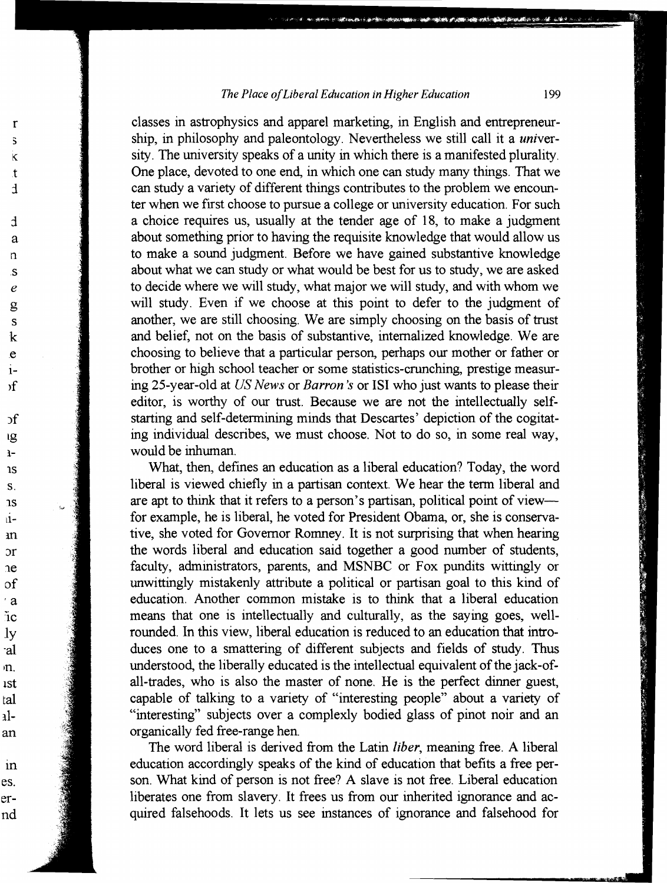#### *The Place ofLiberal Education in Higher Education* 199

r

 $\overline{\mathbf{S}}$ 

 $\overline{\mathbf{K}}$ t j

a n *\$ e*  g s k e 1- >f

d

)f Lg llS S. lS  $1$ m :)f 1e of ·a i.c ly ·al 1. lSt tal ilan

m es. er- $\mathbf d$ 

classes in astrophysics and apparel marketing, in English and entrepreneurship, in philosophy and paleontology. Nevertheless we still call it a *univer*sity. The university speaks of a unity in which there is a manifested plurality. One place, devoted to one end, in which one can study many things. That we can study a variety of different things contributes to the problem we encounter when we first choose to pursue a college or university education. For such a choice requires us, usually at the tender age of 18, to make a judgment about something prior to having the requisite knowledge that would allow us to make a sound judgment. Before we have gained substantive knowledge about what we can study or what would be best for us to study, we are asked to decide where we will study, what major we will study, and with whom we will study. Even if we choose at this point to defer to the judgment of another, we are still choosing. We are simply choosing on the basis of trust and belief, not on the basis of substantive, internalized knowledge. We are choosing to believe that a particular person, perhaps our mother or father or brother or high school teacher or some statistics-crunching, prestige measuring 25-year-old at *US News* or *Barron's* or ISI who just wants to please their editor, is worthy of our trust. Because we are not the intellectually selfstarting and self-determining minds that Descartes' depiction of the cogitating individual describes, we must choose. Not to do so, in some real way, would be inhuman.

What, then, defines an education as a liberal education? Today, the word liberal is viewed chiefly in a partisan context. We hear the term liberal and are apt to think that it refers to a person's partisan, political point of viewfor example, he is liberal, he voted for President Obama, or, she is conservative, she voted for Governor Romney. It is not surprising that when hearing the words liberal and education said together a good number of students, faculty, administrators, parents, and MSNBC or Fox pundits wittingly or unwittingly mistakenly attribute a political or partisan goal to this kind of education. Another common mistake is to think that a liberal education means that one is intellectually and culturally, as the saying goes, wellrounded. In this view, liberal education is reduced to an education that introduces one to a smattering of different subjects and fields of study. Thus understood, the liberally educated is the intellectual equivalent of the jack-ofall-trades, who is also the master of none. He is the perfect dinner guest, capable of talking to a variety of "interesting people" about a variety of "interesting" subjects over a complexly bodied glass of pinot noir and an organically fed free-range hen.

The word liberal is derived from the Latin *liber,* meaning free. A liberal education accordingly speaks of the kind of education that befits a free person. What kind of person is not free? A slave is not free. Liberal education liberates one from slavery. It frees us from our inherited ignorance and acquired falsehoods. It lets us see instances of ignorance and falsehood for

the complete state and state and the contract of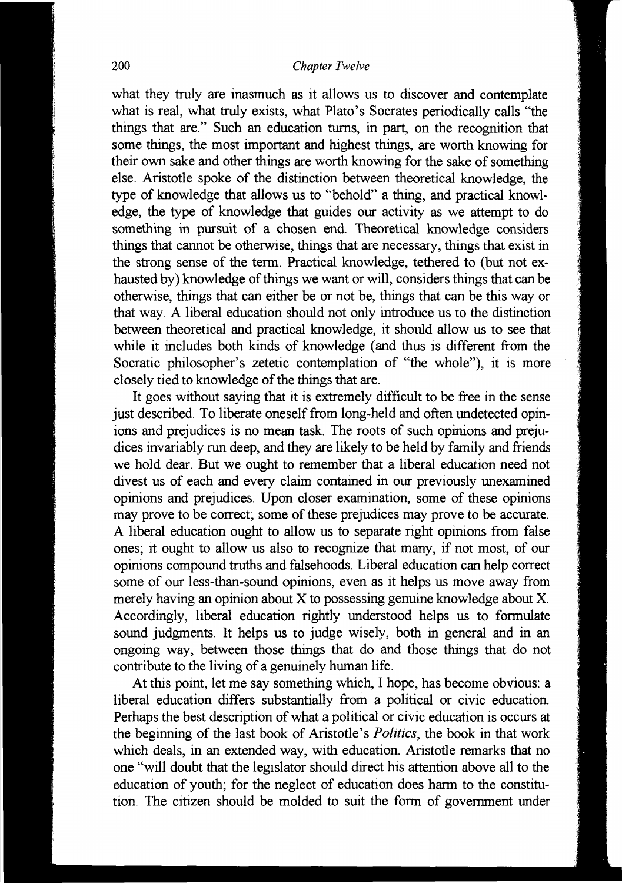what they truly are inasmuch as it allows us to discover and contemplate what is real, what truly exists, what Plato's Socrates periodically calls "the things that are." Such an education turns, in part, on the recognition that some things, the most important and highest things, are worth knowing for their own sake and other things are worth knowing for the sake of something else. Aristotle spoke of the distinction between theoretical knowledge, the type of knowledge that allows us to "behold" a thing, and practical knowledge, the type of knowledge that guides our activity as we attempt to do something in pursuit of a chosen end. Theoretical knowledge considers things that cannot be otherwise, things that are necessary, things that exist in the strong sense of the term. Practical knowledge, tethered to (but not exhausted by) knowledge of things we want or will, considers things that can be otherwise, things that can either be or not be, things that can be this way or that way. A liberal education should not only introduce us to the distinction between theoretical and practical knowledge, it should allow us to see that while it includes both kinds of knowledge (and thus is different from the Socratic philosopher's zetetic contemplation of "the whole"), it is more closely tied to knowledge of the things that are.

It goes without saying that it is extremely difficult to be free in the sense just described. To liberate oneself from long-held and often undetected opinions and prejudices is no mean task. The roots of such opinions and prejudices invariably run deep, and they are likely to be held by family and friends we hold dear. But we ought to remember that a liberal education need not divest us of each and every claim contained in our previously unexamined opinions and prejudices. Upon closer examination, some of these opinions may prove to be correct; some of these prejudices may prove to be accurate. A liberal education ought to allow us to separate right opinions from false ones; it ought to allow us also to recognize that many, if not most, of our opinions compound truths and falsehoods. Liberal education can help correct some of our less-than-sound opinions, even as it helps us move away from merely having an opinion about X to possessing genuine knowledge about X. Accordingly, liberal education rightly understood helps us to formulate sound judgments. It helps us to judge wisely, both in general and in an ongoing way, between those things that do and those things that do not contribute to the living of a genuinely human life.

At this point, let me say something which, I hope, has become obvious: a liberal education differs substantially from a political or civic education. Perhaps the best description of what a political or civic education is occurs at the beginning of the last book of Aristotle's *Politics,* the book in that work which deals, in an extended way, with education. Aristotle remarks that no one "will doubt that the legislator should direct his attention above all to the education of youth; for the neglect of education does harm to the constitution. The citizen should be molded to suit the form of government under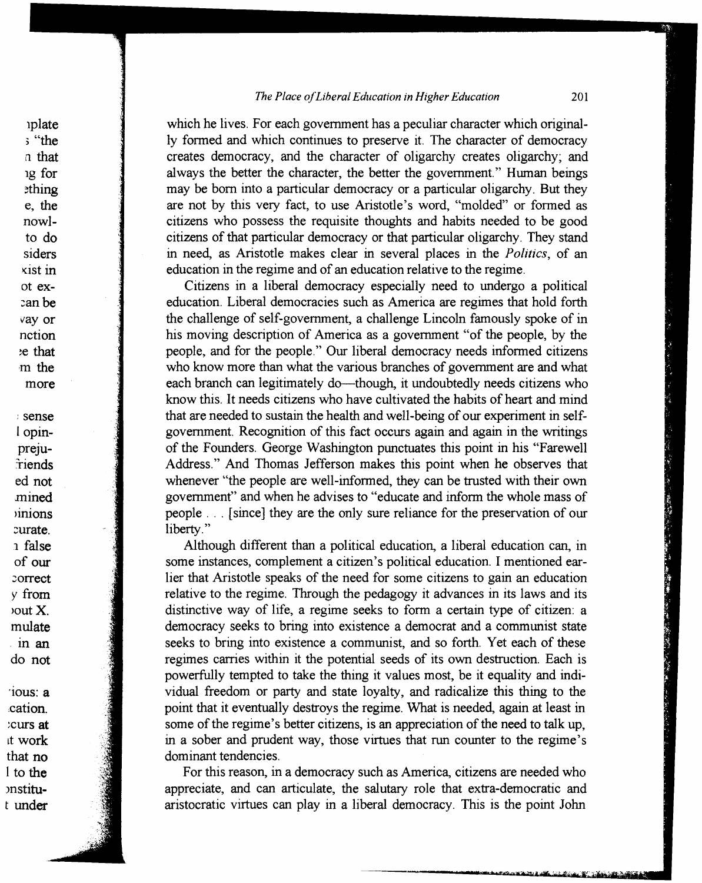#### The Place of Liberal Education in Higher Education

which he lives. For each government has a peculiar character which originally formed and which continues to preserve it. The character of democracy creates democracy, and the character of oligarchy creates oligarchy; and always the better the character, the better the government." Human beings may be born into a particular democracy or a particular oligarchy. But they are not by this very fact, to use Aristotle's word, "molded" or formed as citizens who possess the requisite thoughts and habits needed to be good citizens of that particular democracy or that particular oligarchy. They stand in need, as Aristotle makes clear in several places in the Politics, of an education in the regime and of an education relative to the regime.

Citizens in a liberal democracy especially need to undergo a political education. Liberal democracies such as America are regimes that hold forth the challenge of self-government, a challenge Lincoln famously spoke of in his moving description of America as a government "of the people, by the people, and for the people." Our liberal democracy needs informed citizens who know more than what the various branches of government are and what each branch can legitimately do—though, it undoubtedly needs citizens who know this. It needs citizens who have cultivated the habits of heart and mind that are needed to sustain the health and well-being of our experiment in selfgovernment. Recognition of this fact occurs again and again in the writings of the Founders. George Washington punctuates this point in his "Farewell" Address." And Thomas Jefferson makes this point when he observes that whenever "the people are well-informed, they can be trusted with their own government" and when he advises to "educate and inform the whole mass of people . . . [since] they are the only sure reliance for the preservation of our liberty."

Although different than a political education, a liberal education can, in some instances, complement a citizen's political education. I mentioned earlier that Aristotle speaks of the need for some citizens to gain an education relative to the regime. Through the pedagogy it advances in its laws and its distinctive way of life, a regime seeks to form a certain type of citizen: a democracy seeks to bring into existence a democrat and a communist state seeks to bring into existence a communist, and so forth. Yet each of these regimes carries within it the potential seeds of its own destruction. Each is powerfully tempted to take the thing it values most, be it equality and individual freedom or party and state lovalty, and radicalize this thing to the point that it eventually destroys the regime. What is needed, again at least in some of the regime's better citizens, is an appreciation of the need to talk up, in a sober and prudent way, those virtues that run counter to the regime's dominant tendencies.

For this reason, in a democracy such as America, citizens are needed who appreciate, and can articulate, the salutary role that extra-democratic and aristocratic virtues can play in a liberal democracy. This is the point John

s "the n that 1g for ething e the nowlto do siders xist in ot excan be vay or nction e that m the more sense l opinprejufriends ed not mined *inions* curate. 1 false of our correct  $y$  from  $out X$ . mulate in an do not

iplate

 $i$ ous:  $a$ cation. :curs at it work that no 1 to the mstitut under

201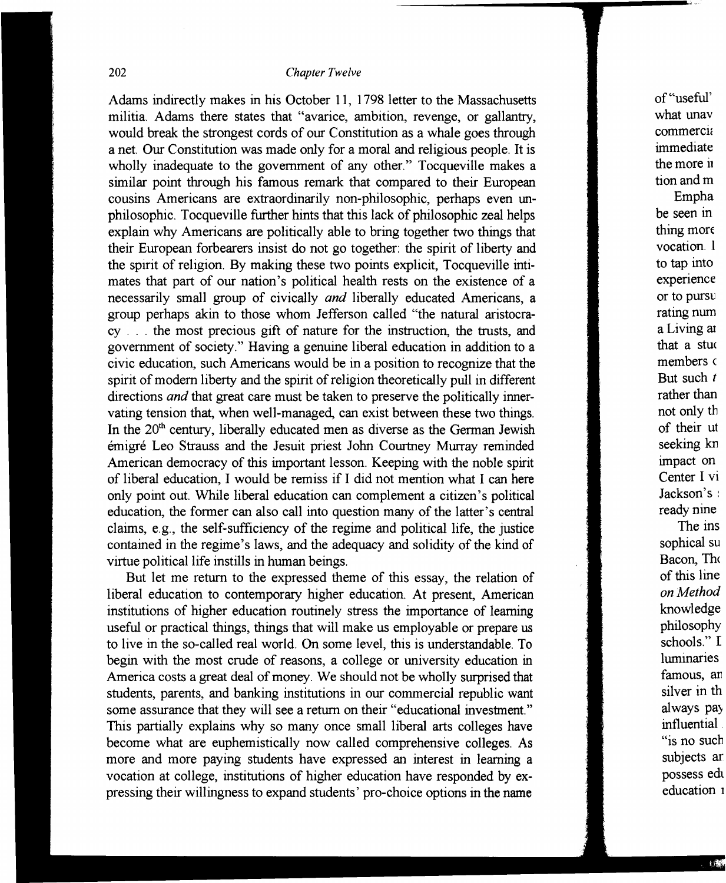Adams indirectly makes in his October 11, 1798 letter to the Massachusetts militia. Adams there states that "avarice, ambition, revenge, or gallantry, would break the strongest cords of our Constitution as a whale goes through a net. Our Constitution was made only for a moral and religious people. It is wholly inadequate to the government of any other." Tocqueville makes a similar point through his famous remark that compared to their European cousins Americans are extraordinarily non-philosophic, perhaps even unphilosophic. Tocqueville further hints that this lack of philosophic zeal helps explain why Americans are politically able to bring together two things that their European forbearers insist do not go together: the spirit of liberty and the spirit of religion. By making these two points explicit, Tocqueville intimates that part of our nation's political health rests on the existence of a necessarily small group of civically *and* liberally educated Americans, a group perhaps akin to those whom Jefferson called "the natural aristocracy . . . the most precious gift of nature for the instruction, the trusts, and government of society." Having a genuine liberal education in addition to a civic education, such Americans would be in a position to recognize that the spirit of modern liberty and the spirit of religion theoretically pull in different directions *and* that great care must be taken to preserve the politically innervating tension that, when well-managed, can exist between these two things. In the  $20<sup>th</sup>$  century, liberally educated men as diverse as the German Jewish emigre Leo Strauss and the Jesuit priest John Courtney Murray reminded American democracy of this important lesson. Keeping with the noble spirit of liberal education, I would be remiss if I did not mention what I can here only point out. While liberal education can complement a citizen's political education, the former can also call into question many of the latter's central claims, e.g., the self-sufficiency of the regime and political life, the justice contained in the regime's laws, and the adequacy and solidity of the kind of virtue political life instills in human beings.

But let me return to the expressed theme of this essay, the relation of liberal education to contemporary higher education. At present, American institutions of higher education routinely stress the importance of learning useful or practical things, things that will make us employable or prepare us to live in the so-called real world. On some level, this is understandable. To begin with the most crude of reasons, a college or university education in America costs a great deal of money. We should not be wholly surprised that students, parents, and banking institutions in our commercial republic want some assurance that they will see a return on their "educational investment." This partially explains why so many once small liberal arts colleges have become what are euphemistically now called comprehensive colleges. As more and more paying students have expressed an interest in learning a vocation at college, institutions of higher education have responded by expressing their willingness to expand students' pro-choice options in the name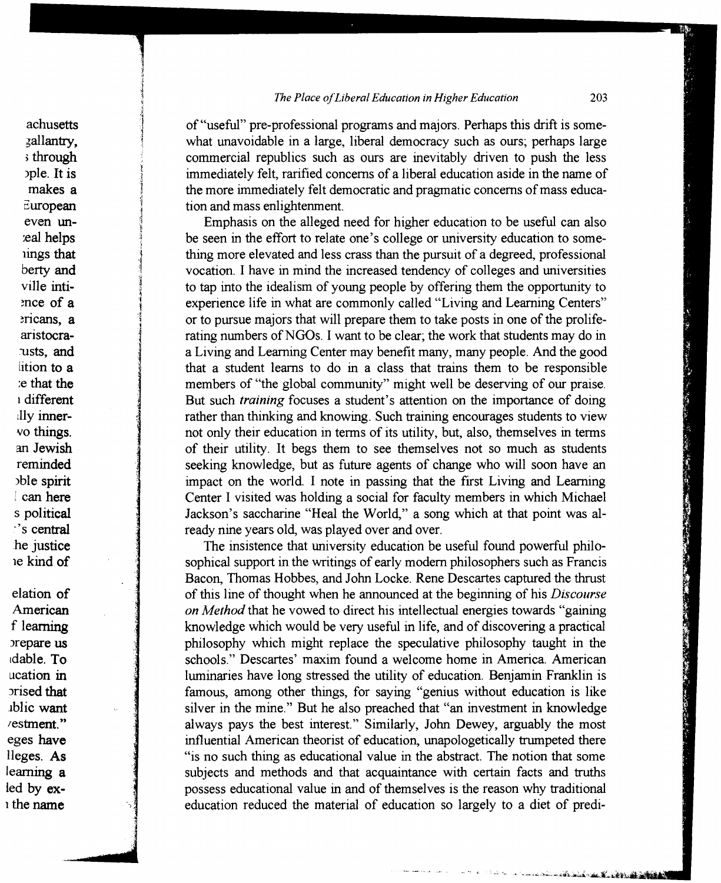#### The Place of Liberal Education in Higher Education

achusetts zallantry. s through ople. It is makes a European even unreal helps ings that berty and ville intience of a ericans. a aristocrausts, and lition to a te that the i different lly innervo things. an Jewish reminded ble spirit can here s political s central he justice le kind of elation of

American f learning prepare us dable. To ucation in prised that ablic want /estment." eges have lleges. As learning a led by exthe name

of "useful" pre-professional programs and majors. Perhaps this drift is somewhat unavoidable in a large, liberal democracy such as ours; perhaps large commercial republics such as ours are inevitably driven to push the less immediately felt, rarified concerns of a liberal education aside in the name of the more immediately felt democratic and pragmatic concerns of mass education and mass enlightenment.

Emphasis on the alleged need for higher education to be useful can also be seen in the effort to relate one's college or university education to something more elevated and less crass than the pursuit of a degreed, professional vocation. I have in mind the increased tendency of colleges and universities to tap into the idealism of young people by offering them the opportunity to experience life in what are commonly called "Living and Learning Centers" or to pursue majors that will prepare them to take posts in one of the proliferating numbers of NGOs. I want to be clear; the work that students may do in a Living and Learning Center may benefit many, many people. And the good that a student learns to do in a class that trains them to be responsible members of "the global community" might well be deserving of our praise. But such *training* focuses a student's attention on the importance of doing rather than thinking and knowing. Such training encourages students to view not only their education in terms of its utility, but, also, themselves in terms of their utility. It begs them to see themselves not so much as students seeking knowledge, but as future agents of change who will soon have an impact on the world. I note in passing that the first Living and Learning Center I visited was holding a social for faculty members in which Michael Jackson's saccharine "Heal the World," a song which at that point was already nine years old, was played over and over.

The insistence that university education be useful found powerful philosophical support in the writings of early modern philosophers such as Francis Bacon, Thomas Hobbes, and John Locke. Rene Descartes captured the thrust of this line of thought when he announced at the beginning of his *Discourse* on Method that he vowed to direct his intellectual energies towards "gaining" knowledge which would be very useful in life, and of discovering a practical philosophy which might replace the speculative philosophy taught in the schools." Descartes' maxim found a welcome home in America. American luminaries have long stressed the utility of education. Benjamin Franklin is famous, among other things, for saying "genius without education is like silver in the mine." But he also preached that "an investment in knowledge always pays the best interest." Similarly, John Dewey, arguably the most influential American theorist of education, unapologetically trumpeted there "is no such thing as educational value in the abstract. The notion that some subjects and methods and that acquaintance with certain facts and truths possess educational value in and of themselves is the reason why traditional education reduced the material of education so largely to a diet of predi-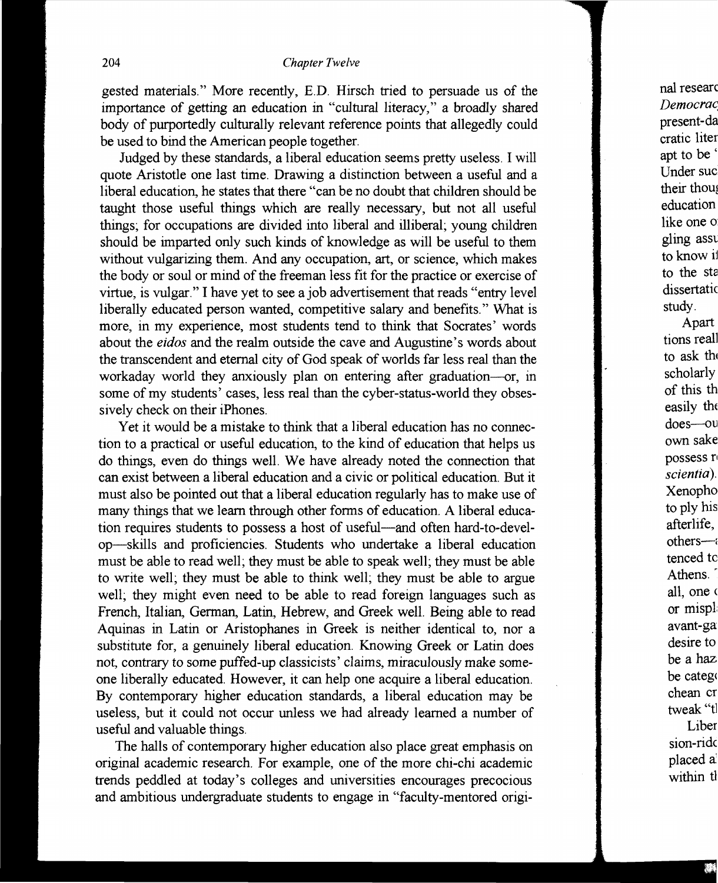gested materials." More recently, E.D. Hirsch tried to persuade us of the importance of getting an education in "cultural literacy," a broadly shared body of purportedly culturally relevant reference points that allegedly could be used to bind the American people together.

Judged by these standards, a liberal education seems pretty useless. I will quote Aristotle one last time. Drawing a distinction between a useful and a liberal education, he states that there "can be no doubt that children should be taught those useful things which are really necessary, but not all useful things; for occupations are divided into liberal and illiberal; young children should be imparted only such kinds of knowledge as will be useful to them without vulgarizing them. And any occupation, art, or science, which makes the body or soul or mind of the freeman less fit for the practice or exercise of virtue, is vulgar." I have yet to see a job advertisement that reads "entry level liberally educated person wanted, competitive salary and benefits." What is more, in my experience, most students tend to think that Socrates' words about the *eidos* and the realm outside the cave and Augustine's words about the transcendent and eternal city of God speak of worlds far less real than the workaday world they anxiously plan on entering after graduation---some of my students' cases, less real than the cyber-status-world they obsessively check on their iPhones.

Yet it would be a mistake to think that a liberal education has no connection to a practical or useful education, to the kind of education that helps us do things, even do things well. We have already noted the connection that can exist between a liberal education and a civic or political education. But it must also be pointed out that a liberal education regularly has to make use of many things that we learn through other forms of education. A liberal education requires students to possess a host of useful-and often hard-to-develop-skills and proficiencies. Students who undertake a liberal education must be able to read well; they must be able to speak well; they must be able to write well; they must be able to think well; they must be able to argue well; they might even need to be able to read foreign languages such as French, Italian, German, Latin, Hebrew, and Greek well. Being able to read Aquinas in Latin or Aristophanes in Greek is neither identical to, nor a substitute for, a genuinely liberal education. Knowing Greek or Latin does not, contrary to some puffed-up classicists' claims, miraculously make someone liberally educated. However, it can help one acquire a liberal education. By contemporary higher education standards, a liberal education may be useless, but it could not occur unless we had already learned a number of useful and valuable things.

The halls of contemporary higher education also place great emphasis on original academic research. For example, one of the more chi-chi academic trends peddled at today's colleges and universities encourages precocious and ambitious undergraduate students to engage in "faculty-mentored original researo *Democrac.*  present-da cratic liter apt to be' Under sue their thou education like one o gling asst to know i to the sta dissertation study.

Apart tions real to ask the scholarly of this th easily the does-ou own sake possess r *scientia).*  Xenopho to ply his afterlife, otherstenced tc Athens. all, one or mispl: avant-ga desire to be a haz; be categ< chean er tweak "t Liber sion-ridc placed a: within tl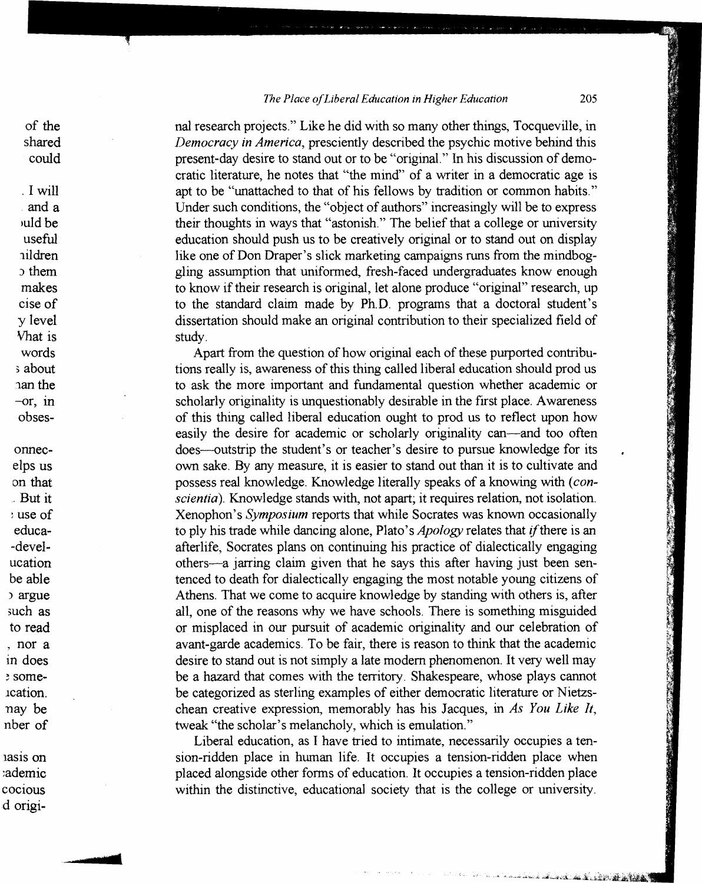#### *The Place of Liberal Education in Higher Education* 205

of the shared could . I will and a 1uld be useful 1ildren ) them makes cise of y level Vhat is words :; about 1an the -or, in obses-

onnecelps us on that . But it use of educa--develucation be able argue 1ch as o read , nor a i does ~someation. ay be per of sis on demic cious

origi-

rd

nal research projects." Like he did with so many other things, Tocqueville, in *Democracy in America,* presciently described the psychic motive behind this present-day desire to stand out or to be "original." In his discussion of democratic literature, he notes that "the mind" of a writer in a democratic age is apt to be "unattached to that of his fellows by tradition or common habits." Under such conditions, the "object of authors" increasingly will be to express their thoughts in ways that "astonish." The belief that a college or university education should push us to be creatively original or to stand out on display like one of Don Draper's slick marketing campaigns runs from the mindboggling assumption that uniformed, fresh-faced undergraduates know enough to know if their research is original, let alone produce "original" research, up to the standard claim made by Ph.D. programs that a doctoral student's dissertation should make an original contribution to their specialized field of study.

Apart from the question of how original each of these purported contributions really is, awareness of this thing called liberal education should prod us to ask the more important and fundamental question whether academic or scholarly originality is unquestionably desirable in the first place. Awareness of this thing called liberal education ought to prod us to reflect upon how easily the desire for academic or scholarly originality can—and too often does-outstrip the student's or teacher's desire to pursue knowledge for its own sake. By any measure, it is easier to stand out than it is to cultivate and possess real knowledge. Knowledge literally speaks of a knowing with *(conscientia*). Knowledge stands with, not apart, it requires relation, not isolation. Xenophon's *Symposium* reports that while Socrates was known occasionally to ply his trade while dancing alone, Plato's *Apology* relates that *if* there is an afterlife, Socrates plans on continuing his practice of dialectically engaging others-a jarring claim given that he says this after having just been sentenced to death for dialectically engaging the most notable young citizens of Athens. That we come to acquire knowledge by standing with others is, after all, one of the reasons why we have schools. There is something misguided or misplaced in our pursuit of academic originality and our celebration of avant-garde academics. To be fair, there is reason to think that the academic desire to stand out is not simply a late modern phenomenon. It very well may be a hazard that comes with the territory. Shakespeare, whose plays cannot be categorized as sterling examples of either democratic literature or Nietzschean creative expression, memorably has his Jacques, in *As You Like It,*  tweak "the scholar's melancholy, which is emulation."

Liberal education, as I have tried to intimate, necessarily occupies a tension-ridden place in human life. It occupies a tension-ridden place when placed alongside other forms of education. It occupies a tension-ridden place within the distinctive, educational society that is the college or university.